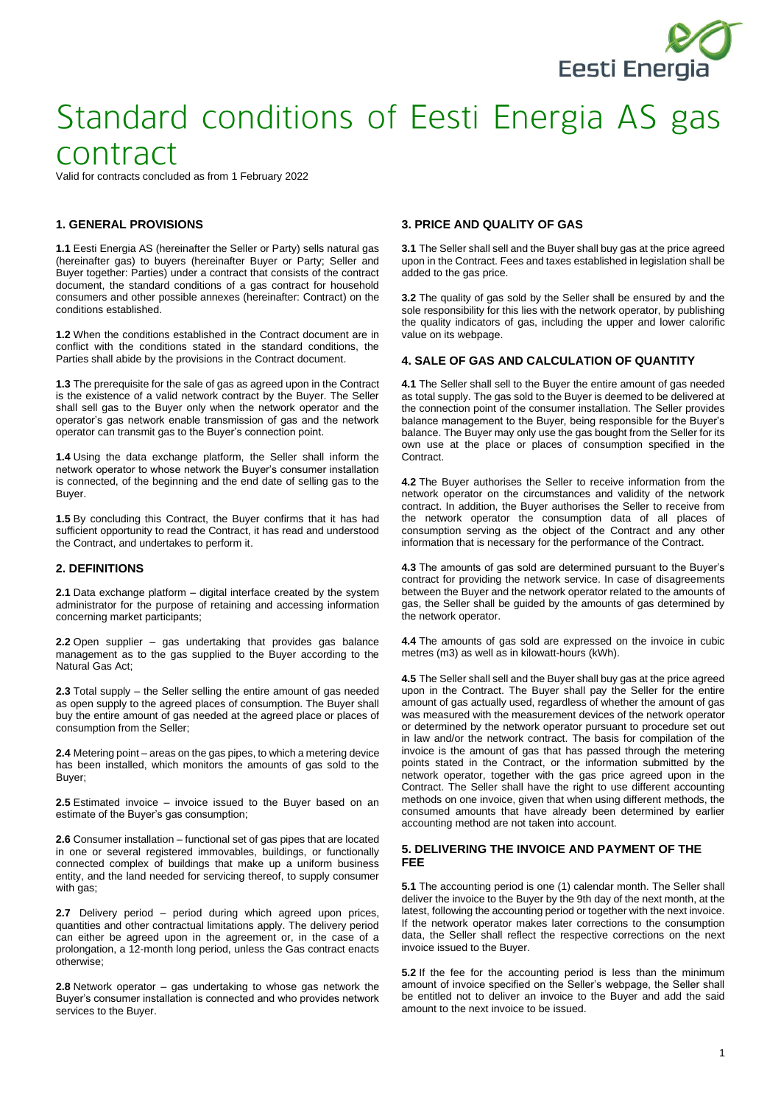

Valid for contracts concluded as from 1 February 2022

## **1. GENERAL PROVISIONS**

**1.1** Eesti Energia AS (hereinafter the Seller or Party) sells natural gas (hereinafter gas) to buyers (hereinafter Buyer or Party; Seller and Buyer together: Parties) under a contract that consists of the contract document, the standard conditions of a gas contract for household consumers and other possible annexes (hereinafter: Contract) on the conditions established.

**1.2** When the conditions established in the Contract document are in conflict with the conditions stated in the standard conditions, the Parties shall abide by the provisions in the Contract document.

**1.3** The prerequisite for the sale of gas as agreed upon in the Contract is the existence of a valid network contract by the Buyer. The Seller shall sell gas to the Buyer only when the network operator and the operator's gas network enable transmission of gas and the network operator can transmit gas to the Buyer's connection point.

**1.4** Using the data exchange platform, the Seller shall inform the network operator to whose network the Buyer's consumer installation is connected, of the beginning and the end date of selling gas to the Buyer.

**1.5** By concluding this Contract, the Buyer confirms that it has had sufficient opportunity to read the Contract, it has read and understood the Contract, and undertakes to perform it.

## **2. DEFINITIONS**

**2.1** Data exchange platform – digital interface created by the system administrator for the purpose of retaining and accessing information concerning market participants;

**2.2** Open supplier – gas undertaking that provides gas balance management as to the gas supplied to the Buyer according to the Natural Gas Act;

**2.3** Total supply – the Seller selling the entire amount of gas needed as open supply to the agreed places of consumption. The Buyer shall buy the entire amount of gas needed at the agreed place or places of consumption from the Seller;

**2.4** Metering point – areas on the gas pipes, to which a metering device has been installed, which monitors the amounts of gas sold to the Buyer;

**2.5** Estimated invoice – invoice issued to the Buyer based on an estimate of the Buyer's gas consumption;

**2.6** Consumer installation – functional set of gas pipes that are located in one or several registered immovables, buildings, or functionally connected complex of buildings that make up a uniform business entity, and the land needed for servicing thereof, to supply consumer with gas;

**2.7** Delivery period – period during which agreed upon prices, quantities and other contractual limitations apply. The delivery period can either be agreed upon in the agreement or, in the case of a prolongation, a 12-month long period, unless the Gas contract enacts otherwise;

**2.8** Network operator – gas undertaking to whose gas network the Buyer's consumer installation is connected and who provides network services to the Buyer.

## **3. PRICE AND QUALITY OF GAS**

**3.1** The Seller shall sell and the Buyer shall buy gas at the price agreed upon in the Contract. Fees and taxes established in legislation shall be added to the gas price.

**3.2** The quality of gas sold by the Seller shall be ensured by and the sole responsibility for this lies with the network operator, by publishing the quality indicators of gas, including the upper and lower calorific value on its webpage.

#### **4. SALE OF GAS AND CALCULATION OF QUANTITY**

**4.1** The Seller shall sell to the Buyer the entire amount of gas needed as total supply. The gas sold to the Buyer is deemed to be delivered at the connection point of the consumer installation. The Seller provides balance management to the Buyer, being responsible for the Buyer's balance. The Buyer may only use the gas bought from the Seller for its own use at the place or places of consumption specified in the **Contract.** 

**4.2** The Buyer authorises the Seller to receive information from the network operator on the circumstances and validity of the network contract. In addition, the Buyer authorises the Seller to receive from the network operator the consumption data of all places of consumption serving as the object of the Contract and any other information that is necessary for the performance of the Contract.

**4.3** The amounts of gas sold are determined pursuant to the Buyer's contract for providing the network service. In case of disagreements between the Buyer and the network operator related to the amounts of gas, the Seller shall be guided by the amounts of gas determined by the network operator.

**4.4** The amounts of gas sold are expressed on the invoice in cubic metres (m3) as well as in kilowatt-hours (kWh).

**4.5** The Seller shall sell and the Buyer shall buy gas at the price agreed upon in the Contract. The Buyer shall pay the Seller for the entire amount of gas actually used, regardless of whether the amount of gas was measured with the measurement devices of the network operator or determined by the network operator pursuant to procedure set out in law and/or the network contract. The basis for compilation of the invoice is the amount of gas that has passed through the metering points stated in the Contract, or the information submitted by the network operator, together with the gas price agreed upon in the Contract. The Seller shall have the right to use different accounting methods on one invoice, given that when using different methods, the consumed amounts that have already been determined by earlier accounting method are not taken into account.

#### **5. DELIVERING THE INVOICE AND PAYMENT OF THE FEE**

**5.1** The accounting period is one (1) calendar month. The Seller shall deliver the invoice to the Buyer by the 9th day of the next month, at the latest, following the accounting period or together with the next invoice. If the network operator makes later corrections to the consumption data, the Seller shall reflect the respective corrections on the next invoice issued to the Buyer.

**5.2** If the fee for the accounting period is less than the minimum amount of invoice specified on the Seller's webpage, the Seller shall be entitled not to deliver an invoice to the Buyer and add the said amount to the next invoice to be issued.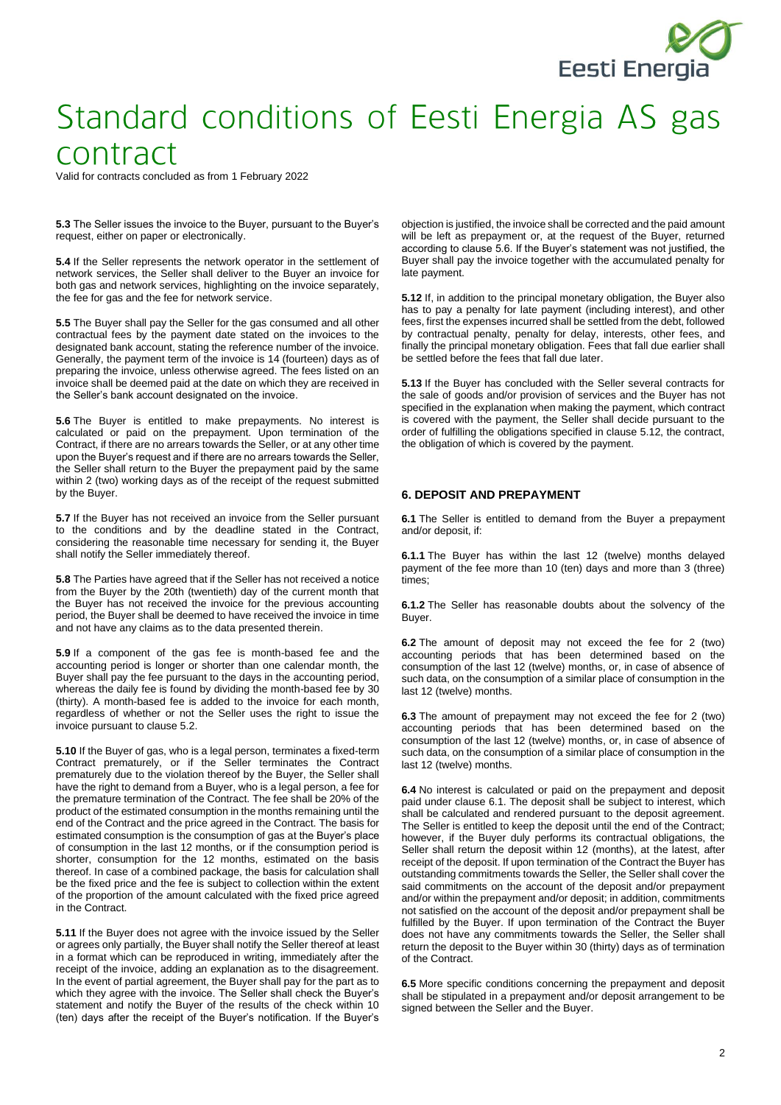

Valid for contracts concluded as from 1 February 2022

**5.3** The Seller issues the invoice to the Buyer, pursuant to the Buyer's request, either on paper or electronically.

**5.4** If the Seller represents the network operator in the settlement of network services, the Seller shall deliver to the Buyer an invoice for both gas and network services, highlighting on the invoice separately, the fee for gas and the fee for network service.

**5.5** The Buyer shall pay the Seller for the gas consumed and all other contractual fees by the payment date stated on the invoices to the designated bank account, stating the reference number of the invoice. Generally, the payment term of the invoice is 14 (fourteen) days as of preparing the invoice, unless otherwise agreed. The fees listed on an invoice shall be deemed paid at the date on which they are received in the Seller's bank account designated on the invoice.

**5.6** The Buyer is entitled to make prepayments. No interest is calculated or paid on the prepayment. Upon termination of the Contract, if there are no arrears towards the Seller, or at any other time upon the Buyer's request and if there are no arrears towards the Seller, the Seller shall return to the Buyer the prepayment paid by the same within 2 (two) working days as of the receipt of the request submitted by the Buyer.

**5.7** If the Buyer has not received an invoice from the Seller pursuant to the conditions and by the deadline stated in the Contract, considering the reasonable time necessary for sending it, the Buyer shall notify the Seller immediately thereof.

**5.8** The Parties have agreed that if the Seller has not received a notice from the Buyer by the 20th (twentieth) day of the current month that the Buyer has not received the invoice for the previous accounting period, the Buyer shall be deemed to have received the invoice in time and not have any claims as to the data presented therein.

**5.9** If a component of the gas fee is month-based fee and the accounting period is longer or shorter than one calendar month, the Buyer shall pay the fee pursuant to the days in the accounting period, whereas the daily fee is found by dividing the month-based fee by 30 (thirty). A month-based fee is added to the invoice for each month, regardless of whether or not the Seller uses the right to issue the invoice pursuant to clause 5.2.

**5.10** If the Buyer of gas, who is a legal person, terminates a fixed-term Contract prematurely, or if the Seller terminates the Contract prematurely due to the violation thereof by the Buyer, the Seller shall have the right to demand from a Buyer, who is a legal person, a fee for the premature termination of the Contract. The fee shall be 20% of the product of the estimated consumption in the months remaining until the end of the Contract and the price agreed in the Contract. The basis for estimated consumption is the consumption of gas at the Buyer's place of consumption in the last 12 months, or if the consumption period is shorter, consumption for the 12 months, estimated on the basis thereof. In case of a combined package, the basis for calculation shall be the fixed price and the fee is subject to collection within the extent of the proportion of the amount calculated with the fixed price agreed in the Contract.

**5.11** If the Buyer does not agree with the invoice issued by the Seller or agrees only partially, the Buyer shall notify the Seller thereof at least in a format which can be reproduced in writing, immediately after the receipt of the invoice, adding an explanation as to the disagreement. In the event of partial agreement, the Buyer shall pay for the part as to which they agree with the invoice. The Seller shall check the Buyer's statement and notify the Buyer of the results of the check within 10 (ten) days after the receipt of the Buyer's notification. If the Buyer's

objection is justified, the invoice shall be corrected and the paid amount will be left as prepayment or, at the request of the Buyer, returned according to clause 5.6. If the Buyer's statement was not justified, the Buyer shall pay the invoice together with the accumulated penalty for late payment.

**5.12** If, in addition to the principal monetary obligation, the Buyer also has to pay a penalty for late payment (including interest), and other fees, first the expenses incurred shall be settled from the debt, followed by contractual penalty, penalty for delay, interests, other fees, and finally the principal monetary obligation. Fees that fall due earlier shall be settled before the fees that fall due later.

**5.13** If the Buyer has concluded with the Seller several contracts for the sale of goods and/or provision of services and the Buyer has not specified in the explanation when making the payment, which contract is covered with the payment, the Seller shall decide pursuant to the order of fulfilling the obligations specified in clause 5.12, the contract, the obligation of which is covered by the payment.

### **6. DEPOSIT AND PREPAYMENT**

**6.1** The Seller is entitled to demand from the Buyer a prepayment and/or deposit, if:

**6.1.1** The Buyer has within the last 12 (twelve) months delayed payment of the fee more than 10 (ten) days and more than 3 (three) times:

**6.1.2** The Seller has reasonable doubts about the solvency of the Buyer.

**6.2** The amount of deposit may not exceed the fee for 2 (two) accounting periods that has been determined based on the consumption of the last 12 (twelve) months, or, in case of absence of such data, on the consumption of a similar place of consumption in the last 12 (twelve) months.

**6.3** The amount of prepayment may not exceed the fee for 2 (two) accounting periods that has been determined based on the consumption of the last 12 (twelve) months, or, in case of absence of such data, on the consumption of a similar place of consumption in the last 12 (twelve) months.

**6.4** No interest is calculated or paid on the prepayment and deposit paid under clause 6.1. The deposit shall be subject to interest, which shall be calculated and rendered pursuant to the deposit agreement. The Seller is entitled to keep the deposit until the end of the Contract; however, if the Buyer duly performs its contractual obligations, the Seller shall return the deposit within 12 (months), at the latest, after receipt of the deposit. If upon termination of the Contract the Buyer has outstanding commitments towards the Seller, the Seller shall cover the said commitments on the account of the deposit and/or prepayment and/or within the prepayment and/or deposit; in addition, commitments not satisfied on the account of the deposit and/or prepayment shall be fulfilled by the Buyer. If upon termination of the Contract the Buyer does not have any commitments towards the Seller, the Seller shall return the deposit to the Buyer within 30 (thirty) days as of termination of the Contract.

**6.5** More specific conditions concerning the prepayment and deposit shall be stipulated in a prepayment and/or deposit arrangement to be signed between the Seller and the Buyer.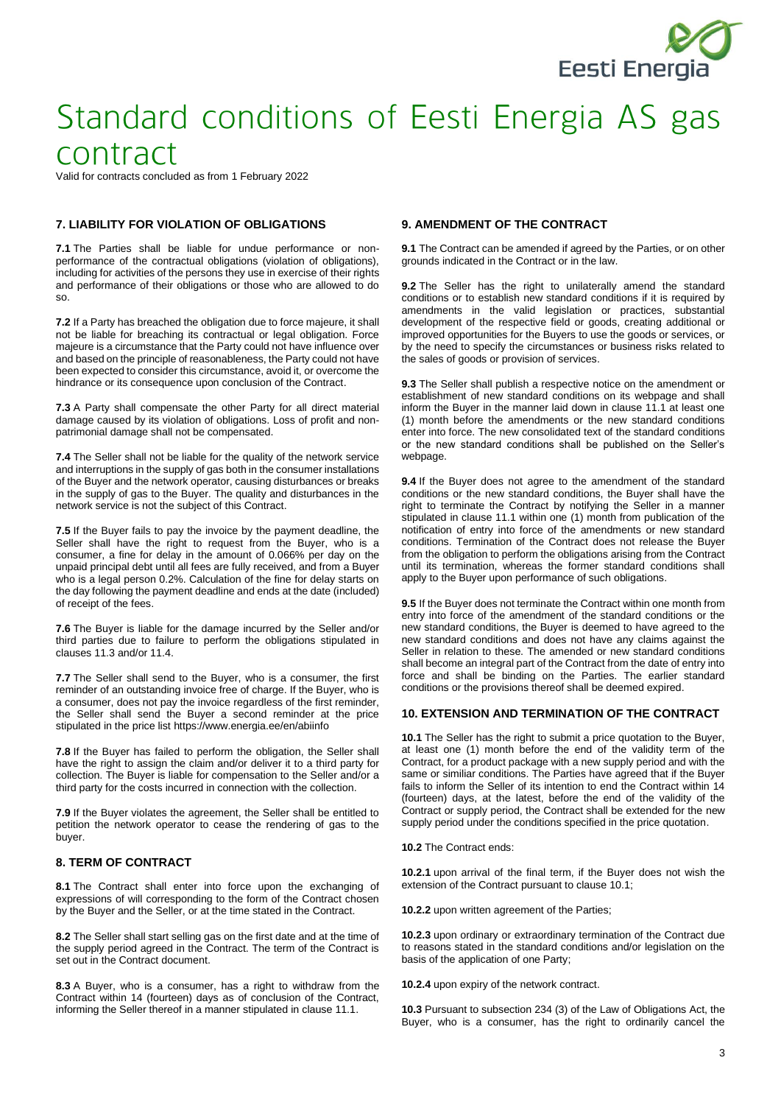

Valid for contracts concluded as from 1 February 2022

## **7. LIABILITY FOR VIOLATION OF OBLIGATIONS**

**7.1** The Parties shall be liable for undue performance or nonperformance of the contractual obligations (violation of obligations), including for activities of the persons they use in exercise of their rights and performance of their obligations or those who are allowed to do so.

**7.2** If a Party has breached the obligation due to force majeure, it shall not be liable for breaching its contractual or legal obligation. Force majeure is a circumstance that the Party could not have influence over and based on the principle of reasonableness, the Party could not have been expected to consider this circumstance, avoid it, or overcome the hindrance or its consequence upon conclusion of the Contract.

**7.3** A Party shall compensate the other Party for all direct material damage caused by its violation of obligations. Loss of profit and nonpatrimonial damage shall not be compensated.

**7.4** The Seller shall not be liable for the quality of the network service and interruptions in the supply of gas both in the consumer installations of the Buyer and the network operator, causing disturbances or breaks in the supply of gas to the Buyer. The quality and disturbances in the network service is not the subject of this Contract.

**7.5** If the Buyer fails to pay the invoice by the payment deadline, the Seller shall have the right to request from the Buyer, who is a consumer, a fine for delay in the amount of 0.066% per day on the unpaid principal debt until all fees are fully received, and from a Buyer who is a legal person 0.2%. Calculation of the fine for delay starts on the day following the payment deadline and ends at the date (included) of receipt of the fees.

**7.6** The Buyer is liable for the damage incurred by the Seller and/or third parties due to failure to perform the obligations stipulated in clauses 11.3 and/or 11.4.

**7.7** The Seller shall send to the Buyer, who is a consumer, the first reminder of an outstanding invoice free of charge. If the Buyer, who is a consumer, does not pay the invoice regardless of the first reminder, the Seller shall send the Buyer a second reminder at the price stipulated in the price list https://www.energia.ee/en/abiinfo

**7.8** If the Buyer has failed to perform the obligation, the Seller shall have the right to assign the claim and/or deliver it to a third party for collection. The Buyer is liable for compensation to the Seller and/or a third party for the costs incurred in connection with the collection.

**7.9** If the Buyer violates the agreement, the Seller shall be entitled to petition the network operator to cease the rendering of gas to the buyer.

### **8. TERM OF CONTRACT**

**8.1** The Contract shall enter into force upon the exchanging of expressions of will corresponding to the form of the Contract chosen by the Buyer and the Seller, or at the time stated in the Contract.

**8.2** The Seller shall start selling gas on the first date and at the time of the supply period agreed in the Contract. The term of the Contract is set out in the Contract document.

**8.3** A Buyer, who is a consumer, has a right to withdraw from the Contract within 14 (fourteen) days as of conclusion of the Contract, informing the Seller thereof in a manner stipulated in clause 11.1.

## **9. AMENDMENT OF THE CONTRACT**

**9.1** The Contract can be amended if agreed by the Parties, or on other grounds indicated in the Contract or in the law.

**9.2** The Seller has the right to unilaterally amend the standard conditions or to establish new standard conditions if it is required by amendments in the valid legislation or practices, substantial development of the respective field or goods, creating additional or improved opportunities for the Buyers to use the goods or services, or by the need to specify the circumstances or business risks related to the sales of goods or provision of services.

**9.3** The Seller shall publish a respective notice on the amendment or establishment of new standard conditions on its webpage and shall inform the Buyer in the manner laid down in clause 11.1 at least one (1) month before the amendments or the new standard conditions enter into force. The new consolidated text of the standard conditions or the new standard conditions shall be published on the Seller's webpage.

**9.4** If the Buyer does not agree to the amendment of the standard conditions or the new standard conditions, the Buyer shall have the right to terminate the Contract by notifying the Seller in a manner stipulated in clause 11.1 within one (1) month from publication of the notification of entry into force of the amendments or new standard conditions. Termination of the Contract does not release the Buyer from the obligation to perform the obligations arising from the Contract until its termination, whereas the former standard conditions shall apply to the Buyer upon performance of such obligations.

**9.5** If the Buyer does not terminate the Contract within one month from entry into force of the amendment of the standard conditions or the new standard conditions, the Buyer is deemed to have agreed to the new standard conditions and does not have any claims against the Seller in relation to these. The amended or new standard conditions shall become an integral part of the Contract from the date of entry into force and shall be binding on the Parties. The earlier standard conditions or the provisions thereof shall be deemed expired.

#### **10. EXTENSION AND TERMINATION OF THE CONTRACT**

**10.1** The Seller has the right to submit a price quotation to the Buyer, at least one (1) month before the end of the validity term of the Contract, for a product package with a new supply period and with the same or similiar conditions. The Parties have agreed that if the Buyer fails to inform the Seller of its intention to end the Contract within 14 (fourteen) days, at the latest, before the end of the validity of the Contract or supply period, the Contract shall be extended for the new supply period under the conditions specified in the price quotation.

**10.2** The Contract ends:

**10.2.1** upon arrival of the final term, if the Buyer does not wish the extension of the Contract pursuant to clause 10.1;

**10.2.2** upon written agreement of the Parties;

**10.2.3** upon ordinary or extraordinary termination of the Contract due to reasons stated in the standard conditions and/or legislation on the basis of the application of one Party;

**10.2.4** upon expiry of the network contract.

**10.3** Pursuant to subsection 234 (3) of the Law of Obligations Act, the Buyer, who is a consumer, has the right to ordinarily cancel the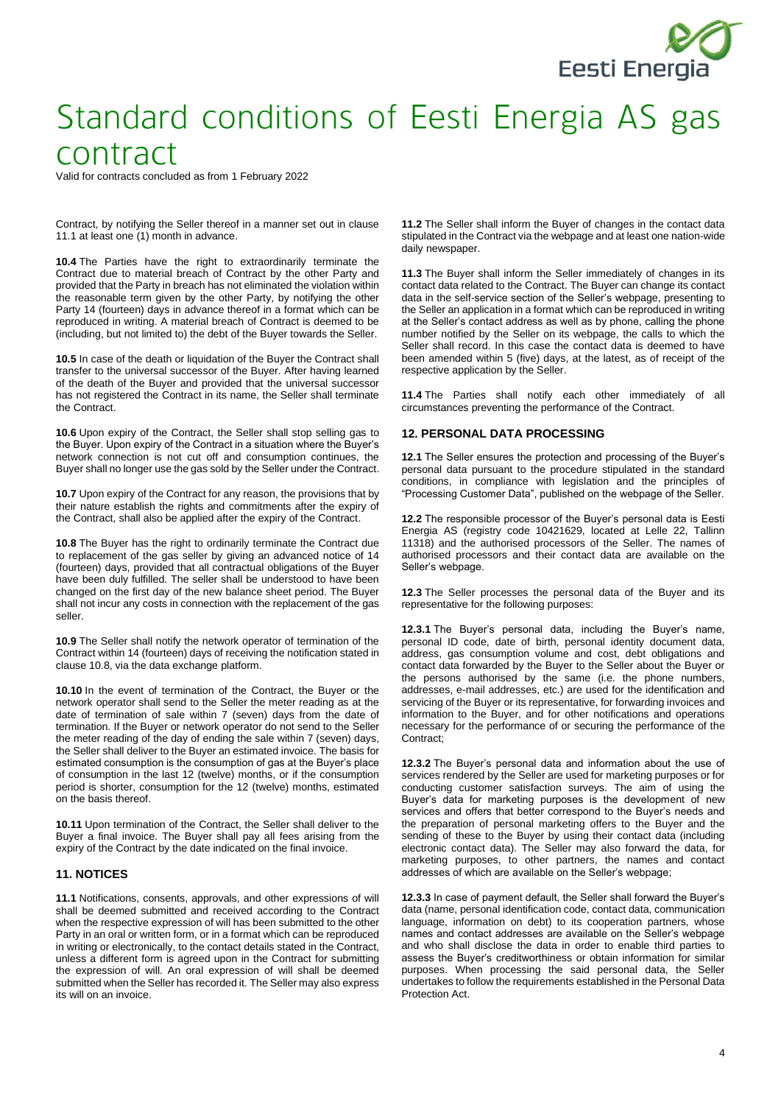

Valid for contracts concluded as from 1 February 2022

Contract, by notifying the Seller thereof in a manner set out in clause 11.1 at least one (1) month in advance.

**10.4** The Parties have the right to extraordinarily terminate the Contract due to material breach of Contract by the other Party and provided that the Party in breach has not eliminated the violation within the reasonable term given by the other Party, by notifying the other Party 14 (fourteen) days in advance thereof in a format which can be reproduced in writing. A material breach of Contract is deemed to be (including, but not limited to) the debt of the Buyer towards the Seller.

**10.5** In case of the death or liquidation of the Buyer the Contract shall transfer to the universal successor of the Buyer. After having learned of the death of the Buyer and provided that the universal successor has not registered the Contract in its name, the Seller shall terminate the Contract.

**10.6** Upon expiry of the Contract, the Seller shall stop selling gas to the Buyer. Upon expiry of the Contract in a situation where the Buyer's network connection is not cut off and consumption continues, the Buyer shall no longer use the gas sold by the Seller under the Contract.

**10.7** Upon expiry of the Contract for any reason, the provisions that by their nature establish the rights and commitments after the expiry of the Contract, shall also be applied after the expiry of the Contract.

**10.8** The Buyer has the right to ordinarily terminate the Contract due to replacement of the gas seller by giving an advanced notice of 14 (fourteen) days, provided that all contractual obligations of the Buyer have been duly fulfilled. The seller shall be understood to have been changed on the first day of the new balance sheet period. The Buyer shall not incur any costs in connection with the replacement of the gas seller.

**10.9** The Seller shall notify the network operator of termination of the Contract within 14 (fourteen) days of receiving the notification stated in clause 10.8, via the data exchange platform.

**10.10** In the event of termination of the Contract, the Buyer or the network operator shall send to the Seller the meter reading as at the date of termination of sale within 7 (seven) days from the date of termination. If the Buyer or network operator do not send to the Seller the meter reading of the day of ending the sale within 7 (seven) days, the Seller shall deliver to the Buyer an estimated invoice. The basis for estimated consumption is the consumption of gas at the Buyer's place of consumption in the last 12 (twelve) months, or if the consumption period is shorter, consumption for the 12 (twelve) months, estimated on the basis thereof.

**10.11** Upon termination of the Contract, the Seller shall deliver to the Buyer a final invoice. The Buyer shall pay all fees arising from the expiry of the Contract by the date indicated on the final invoice.

#### **11. NOTICES**

**11.1** Notifications, consents, approvals, and other expressions of will shall be deemed submitted and received according to the Contract when the respective expression of will has been submitted to the other Party in an oral or written form, or in a format which can be reproduced in writing or electronically, to the contact details stated in the Contract, unless a different form is agreed upon in the Contract for submitting the expression of will. An oral expression of will shall be deemed submitted when the Seller has recorded it. The Seller may also express its will on an invoice.

**11.2** The Seller shall inform the Buyer of changes in the contact data stipulated in the Contract via the webpage and at least one nation-wide daily newspaper.

**11.3** The Buyer shall inform the Seller immediately of changes in its contact data related to the Contract. The Buyer can change its contact data in the self-service section of the Seller's webpage, presenting to the Seller an application in a format which can be reproduced in writing at the Seller's contact address as well as by phone, calling the phone number notified by the Seller on its webpage, the calls to which the Seller shall record. In this case the contact data is deemed to have been amended within 5 (five) days, at the latest, as of receipt of the respective application by the Seller.

**11.4** The Parties shall notify each other immediately of all circumstances preventing the performance of the Contract.

#### **12. PERSONAL DATA PROCESSING**

**12.1** The Seller ensures the protection and processing of the Buyer's personal data pursuant to the procedure stipulated in the standard conditions, in compliance with legislation and the principles of "Processing Customer Data", published on the webpage of the Seller.

**12.2** The responsible processor of the Buyer's personal data is Eesti Energia AS (registry code 10421629, located at Lelle 22, Tallinn 11318) and the authorised processors of the Seller. The names of authorised processors and their contact data are available on the Seller's webpage.

**12.3** The Seller processes the personal data of the Buyer and its representative for the following purposes:

**12.3.1** The Buyer's personal data, including the Buyer's name, personal ID code, date of birth, personal identity document data, address, gas consumption volume and cost, debt obligations and contact data forwarded by the Buyer to the Seller about the Buyer or the persons authorised by the same (i.e. the phone numbers, addresses, e-mail addresses, etc.) are used for the identification and servicing of the Buyer or its representative, for forwarding invoices and information to the Buyer, and for other notifications and operations necessary for the performance of or securing the performance of the Contract;

**12.3.2** The Buyer's personal data and information about the use of services rendered by the Seller are used for marketing purposes or for conducting customer satisfaction surveys. The aim of using the Buyer's data for marketing purposes is the development of new services and offers that better correspond to the Buyer's needs and the preparation of personal marketing offers to the Buyer and the sending of these to the Buyer by using their contact data (including electronic contact data). The Seller may also forward the data, for marketing purposes, to other partners, the names and contact addresses of which are available on the Seller's webpage;

**12.3.3** In case of payment default, the Seller shall forward the Buyer's data (name, personal identification code, contact data, communication language, information on debt) to its cooperation partners, whose names and contact addresses are available on the Seller's webpage and who shall disclose the data in order to enable third parties to assess the Buyer's creditworthiness or obtain information for similar purposes. When processing the said personal data, the Seller undertakes to follow the requirements established in the Personal Data Protection Act.